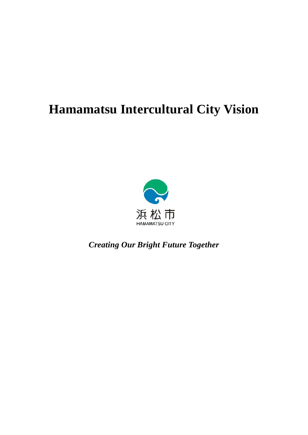# **Hamamatsu Intercultural City Vision**



*Creating Our Bright Future Together*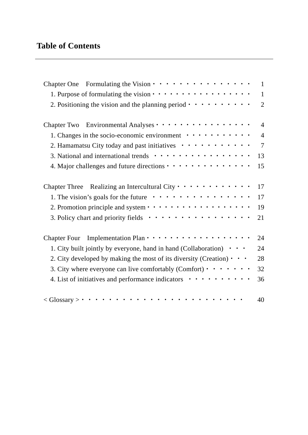| Chapter One Formulating the Vision $\cdots$ $\cdots$ $\cdots$ $\cdots$ $\cdots$ $\cdots$                                                        | $\mathbf{1}$   |
|-------------------------------------------------------------------------------------------------------------------------------------------------|----------------|
| 1. Purpose of formulating the vision $\cdots$ $\cdots$ $\cdots$ $\cdots$ $\cdots$ $\cdots$                                                      | $\mathbf{1}$   |
| 2. Positioning the vision and the planning period $\cdot \cdot \cdot \cdot \cdot \cdot \cdot \cdot \cdot$                                       | $\overline{2}$ |
| Environmental Analyses $\cdots$<br>Chapter Two                                                                                                  | $\overline{4}$ |
| 1. Changes in the socio-economic environment $\cdots \cdots \cdots \cdots$                                                                      | $\overline{4}$ |
| 2. Hamamatsu City today and past initiatives $\cdots \cdots \cdots \cdots$                                                                      | $\overline{7}$ |
|                                                                                                                                                 | 13             |
| 4. Major challenges and future directions $\cdots$                                                                                              | 15             |
| Chapter Three Realizing an Intercultural City $\cdots$ $\cdots$ $\cdots$ $\cdots$                                                               | 17             |
| 1. The vision's goals for the future $\cdots \cdots \cdots \cdots \cdots$                                                                       | 17             |
| 2. Promotion principle and system $\cdot \cdot \cdot \cdot \cdot \cdot \cdot \cdot \cdot \cdot \cdot \cdot \cdot \cdot \cdot \cdot \cdot \cdot$ | 19             |
| 3. Policy chart and priority fields $\cdots$                                                                                                    | 21             |
| Implementation Plan $\cdots$<br><b>Chapter Four</b>                                                                                             | 24             |
| 1. City built jointly by everyone, hand in hand (Collaboration) $\cdot \cdot \cdot$                                                             | 24             |
| 2. City developed by making the most of its diversity (Creation) $\cdot \cdot \cdot$                                                            | 28             |
| 3. City where everyone can live comfortably (Comfort) $\cdot \cdot \cdot \cdot \cdot \cdot$                                                     | 32             |
| 4. List of initiatives and performance indicators $\cdots \cdots \cdots \cdots$                                                                 | 36             |
| $\langle$ Glossary $> \cdot$                                                                                                                    | 40             |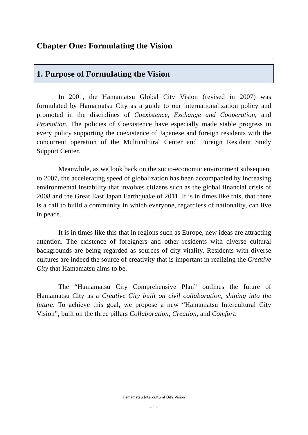## **Chapter One: Formulating the Vision**

## **1. Purpose of Formulating the Vision**

In 2001, the Hamamatsu Global City Vision (revised in 2007) was formulated by Hamamatsu City as a guide to our internationalization policy and promoted in the disciplines of *Coexistence*, *Exchange and Cooperation*, and *Promotion*. The policies of Coexistence have especially made stable progress in every policy supporting the coexistence of Japanese and foreign residents with the concurrent operation of the Multicultural Center and Foreign Resident Study Support Center.

Meanwhile, as we look back on the socio-economic environment subsequent to 2007, the accelerating speed of globalization has been accompanied by increasing environmental instability that involves citizens such as the global financial crisis of 2008 and the Great East Japan Earthquake of 2011. It is in times like this, that there is a call to build a community in which everyone, regardless of nationality, can live in peace.

It is in times like this that in regions such as Europe, new ideas are attracting attention. The existence of foreigners and other residents with diverse cultural backgrounds are being regarded as sources of city vitality. Residents with diverse cultures are indeed the source of creativity that is important in realizing the *Creative City* that Hamamatsu aims to be.

The "Hamamatsu City Comprehensive Plan" outlines the future of Hamamatsu City as a *Creative City built on civil collaboration, shining into the future*. To achieve this goal, we propose a new "Hamamatsu Intercultural City" Vision", built on the three pillars *Collaboration*, *Creation*, and *Comfort*.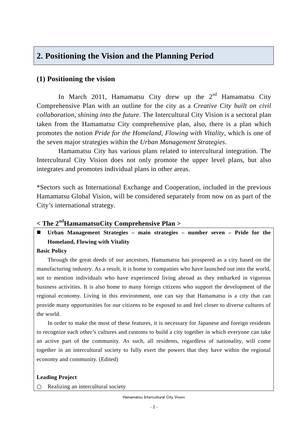## **2. Positioning the Vision and the Planning Period**

## **(1) Positioning the vision**

In March 2011, Hamamatsu City drew up the  $2<sup>nd</sup>$  Hamamatsu City Comprehensive Plan with an outline for the city as a *Creative City built on civil collaboration, shining into the future*. The Intercultural City Vision is a sectoral plan taken from the Hamamatsu City comprehensive plan, also, there is a plan which promotes the notion *Pride for the Homeland, Flowing with Vitality*, which is one of the seven major strategies within the *Urban Management Strategies*.

Hamamatsu City has various plans related to intercultural integration. The Intercultural City Vision does not only promote the upper level plans, but also integrates and promotes individual plans in other areas.

\*Sectors such as International Exchange and Cooperation, included in the previous Hamamatsu Global Vision, will be considered separately from now on as part of the City's international strategy.

## **< The 2ndHamamatsuCity Comprehensive Plan >**

 **Urban Management Strategies – main strategies – number seven – Pride for the Homeland, Flowing with Vitality** 

#### **Basic Policy**

Through the great deeds of our ancestors, Hamamatsu has prospered as a city based on the manufacturing industry. As a result, it is home to companies who have launched out into the world, not to mention individuals who have experienced living abroad as they embarked in vigorous business activities. It is also home to many foreign citizens who support the development of the regional economy. Living in this environment, one can say that Hamamatsu is a city that can provide many opportunities for our citizens to be exposed to and feel closer to diverse cultures of the world.

In order to make the most of these features, it is necessary for Japanese and foreign residents to recognize each other's cultures and customs to build a city together in which everyone can take an active part of the community. As such, all residents, regardless of nationality, will come together in an intercultural society to fully exert the powers that they have within the regional economy and community. (Edited)

#### **Leading Project**

Realizing an intercultural society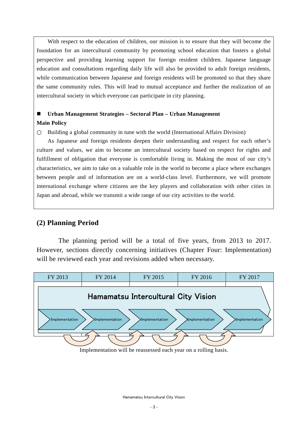With respect to the education of children, our mission is to ensure that they will become the foundation for an intercultural community by promoting school education that fosters a global perspective and providing learning support for foreign resident children. Japanese language education and consultations regarding daily life will also be provided to adult foreign residents, while communication between Japanese and foreign residents will be promoted so that they share the same community rules. This will lead to mutual acceptance and further the realization of an intercultural society in which everyone can participate in city planning.

### **Urban Management Strategies – Sectoral Plan – Urban Management Main Policy**

Building a global community in tune with the world (International Affairs Division)

As Japanese and foreign residents deepen their understanding and respect for each other's culture and values, we aim to become an intercultural society based on respect for rights and fulfillment of obligation that everyone is comfortable living in. Making the most of our city's characteristics, we aim to take on a valuable role in the world to become a place where exchanges between people and of information are on a world-class level. Furthermore, we will promote international exchange where citizens are the key players and collaboration with other cities in Japan and abroad, while we transmit a wide range of our city activities to the world.

### **(2) Planning Period**

The planning period will be a total of five years, from 2013 to 2017. However, sections directly concerning initiatives (Chapter Four: Implementation) will be reviewed each year and revisions added when necessary.



Implementation will be reassessed each year on a rolling basis.

Hamamatsu Intercultural City Vision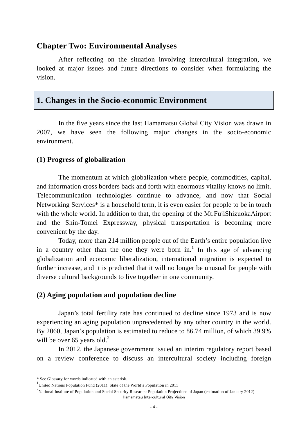## **Chapter Two: Environmental Analyses**

After reflecting on the situation involving intercultural integration, we looked at major issues and future directions to consider when formulating the vision.

## **1. Changes in the Socio-economic Environment**

In the five years since the last Hamamatsu Global City Vision was drawn in 2007, we have seen the following major changes in the socio-economic environment.

#### **(1) Progress of globalization**

The momentum at which globalization where people, commodities, capital, and information cross borders back and forth with enormous vitality knows no limit. Telecommunication technologies continue to advance, and now that Social Networking Services<sup>\*</sup> is a household term, it is even easier for people to be in touch with the whole world. In addition to that, the opening of the Mt. FujiShizuokaAirport and the Shin-Tomei Expressway, physical transportation is becoming more convenient by the day.

Today, more than 214 million people out of the Earth's entire population live in a country other than the one they were born in.<sup>1</sup> In this age of advancing globalization and economic liberalization, international migration is expected to further increase, and it is predicted that it will no longer be unusual for people with diverse cultural backgrounds to live together in one community.

#### **(2) Aging population and population decline**

Japan's total fertility rate has continued to decline since 1973 and is now experiencing an aging population unprecedented by any other country in the world. By 2060, Japan's population is estimated to reduce to 86.74 million, of which 39.9% will be over 65 years old. $^{2}$ 

In 2012, the Japanese government issued an interim regulatory report based on a review conference to discuss an intercultural society including foreign

1

<sup>\*</sup> See Glossary for words indicated with an asterisk.

<sup>1</sup> United Nations Population Fund (2011): State of the World's Population in 2011

Hamamatsu Intercultural City Vision <sup>2</sup> National Institute of Population and Social Security Research: Population Projections of Japan (estimation of January 2012)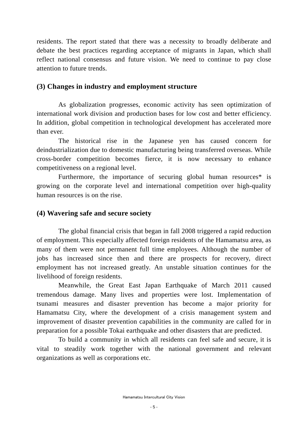residents. The report stated that there was a necessity to broadly deliberate and debate the best practices regarding acceptance of migrants in Japan, which shall reflect national consensus and future vision. We need to continue to pay close attention to future trends.

### **(3) Changes in industry and employment structure**

As globalization progresses, economic activity has seen optimization of international work division and production bases for low cost and better efficiency. In addition, global competition in technological development has accelerated more than ever.

 The historical rise in the Japanese yen has caused concern for deindustrialization due to domestic manufacturing being transferred overseas. While cross-border competition becomes fierce, it is now necessary to enhance competitiveness on a regional level.

Furthermore, the importance of securing global human resources\* is growing on the corporate level and international competition over high-quality human resources is on the rise.

#### **(4) Wavering safe and secure society**

The global financial crisis that began in fall 2008 triggered a rapid reduction of employment. This especially affected foreign residents of the Hamamatsu area, as many of them were not permanent full time employees. Although the number of jobs has increased since then and there are prospects for recovery, direct employment has not increased greatly. An unstable situation continues for the livelihood of foreign residents.

Meanwhile, the Great East Japan Earthquake of March 2011 caused tremendous damage. Many lives and properties were lost. Implementation of tsunami measures and disaster prevention has become a major priority for Hamamatsu City, where the development of a crisis management system and improvement of disaster prevention capabilities in the community are called for in preparation for a possible Tokai earthquake and other disasters that are predicted.

To build a community in which all residents can feel safe and secure, it is vital to steadily work together with the national government and relevant organizations as well as corporations etc.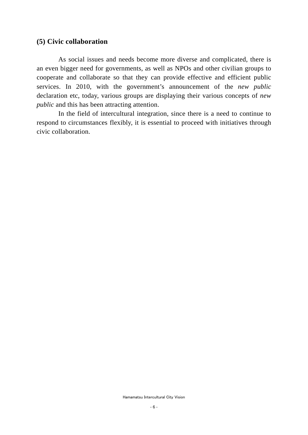#### **(5) Civic collaboration**

As social issues and needs become more diverse and complicated, there is an even bigger need for governments, as well as NPOs and other civilian groups to cooperate and collaborate so that they can provide effective and efficient public services. In 2010, with the government's announcement of the *new public*  declaration etc, today, various groups are displaying their various concepts of *new public* and this has been attracting attention.

In the field of intercultural integration, since there is a need to continue to respond to circumstances flexibly, it is essential to proceed with initiatives through civic collaboration.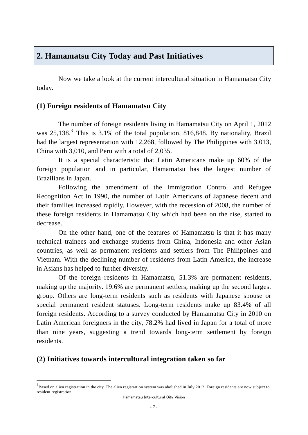## **2. Hamamatsu City Today and Past Initiatives**

Now we take a look at the current intercultural situation in Hamamatsu City today.

## **(1) Foreign residents of Hamamatsu City**

The number of foreign residents living in Hamamatsu City on April 1, 2012 was  $25,138$ .<sup>3</sup> This is  $3.1\%$  of the total population,  $816,848$ . By nationality, Brazil had the largest representation with 12,268, followed by The Philippines with 3,013, China with 3,010, and Peru with a total of 2,035.

It is a special characteristic that Latin Americans make up 60% of the foreign population and in particular, Hamamatsu has the largest number of Brazilians in Japan.

Following the amendment of the Immigration Control and Refugee Recognition Act in 1990, the number of Latin Americans of Japanese decent and their families increased rapidly. However, with the recession of 2008, the number of these foreign residents in Hamamatsu City which had been on the rise, started to decrease.

On the other hand, one of the features of Hamamatsu is that it has many technical trainees and exchange students from China, Indonesia and other Asian countries, as well as permanent residents and settlers from The Philippines and Vietnam. With the declining number of residents from Latin America, the increase in Asians has helped to further diversity.

Of the foreign residents in Hamamatsu, 51.3% are permanent residents, making up the majority. 19.6% are permanent settlers, making up the second largest group. Others are long-term residents such as residents with Japanese spouse or special permanent resident statuses. Long-term residents make up 83.4% of all foreign residents. According to a survey conducted by Hamamatsu City in 2010 on Latin American foreigners in the city, 78.2% had lived in Japan for a total of more than nine years, suggesting a trend towards long-term settlement by foreign residents.

### **(2) Initiatives towards intercultural integration taken so far**

1

 $3$ Based on alien registration in the city. The alien registration system was abolished in July 2012. Foreign residents are now subject to resident registration.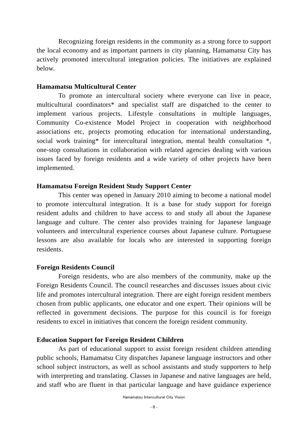Recognizing foreign residents in the community as a strong force to support the local economy and as important partners in city planning, Hamamatsu City has actively promoted intercultural integration policies. The initiatives are explained below.

#### **Hamamatsu Multicultural Center**

 To promote an intercultural society where everyone can live in peace, multicultural coordinators\* and specialist staff are dispatched to the center to implement various projects. Lifestyle consultations in multiple languages, Community Co-existence Model Project in cooperation with neighborhood associations etc, projects promoting education for international understanding, social work training\* for intercultural integration, mental health consultation \*, one-stop consultations in collaboration with related agencies dealing with various issues faced by foreign residents and a wide variety of other projects have been implemented.

#### **Hamamatsu Foreign Resident Study Support Center**

This center was opened in January 2010 aiming to become a national model to promote intercultural integration. It is a base for study support for foreign resident adults and children to have access to and study all about the Japanese language and culture. The center also provides training for Japanese language volunteers and intercultural experience courses about Japanese culture. Portuguese lessons are also available for locals who are interested in supporting foreign residents.

#### **Foreign Residents Council**

Foreign residents, who are also members of the community, make up the Foreign Residents Council. The council researches and discusses issues about civic life and promotes intercultural integration. There are eight foreign resident members chosen from public applicants, one educator and one expert. Their opinions will be reflected in government decisions. The purpose for this council is for foreign residents to excel in initiatives that concern the foreign resident community.

#### **Education Support for Foreign Resident Children**

 As part of educational support to assist foreign resident children attending public schools, Hamamatsu City dispatches Japanese language instructors and other school subject instructors, as well as school assistants and study supporters to help with interpreting and translating. Classes in Japanese and native languages are held, and staff who are fluent in that particular language and have guidance experience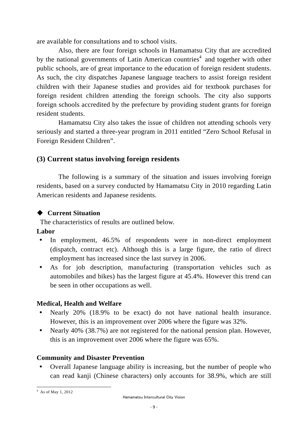are available for consultations and to school visits.

 Also, there are four foreign schools in Hamamatsu City that are accredited by the national governments of Latin American countries<sup>4</sup> and together with other public schools, are of great importance to the education of foreign resident students. As such, the city dispatches Japanese language teachers to assist foreign resident children with their Japanese studies and provides aid for textbook purchases for foreign resident children attending the foreign schools. The city also supports foreign schools accredited by the prefecture by providing student grants for foreign resident students.

Hamamatsu City also takes the issue of children not attending schools very seriously and started a three-year program in 2011 entitled "Zero School Refusal in Foreign Resident Children".

## **(3) Current status involving foreign residents**

The following is a summary of the situation and issues involving foreign residents, based on a survey conducted by Hamamatsu City in 2010 regarding Latin American residents and Japanese residents.

## ◆ Current Situation

The characteristics of results are outlined below.

## **Labor**

- In employment, 46.5% of respondents were in non-direct employment (dispatch, contract etc). Although this is a large figure, the ratio of direct employment has increased since the last survey in 2006.
- As for job description, manufacturing (transportation vehicles such as automobiles and bikes) has the largest figure at 45.4%. However this trend can be seen in other occupations as well.

## **Medical, Health and Welfare**

- Nearly 20% (18.9% to be exact) do not have national health insurance. However, this is an improvement over 2006 where the figure was 32%.
- Nearly 40% (38.7%) are not registered for the national pension plan. However, this is an improvement over 2006 where the figure was 65%.

## **Community and Disaster Prevention**

Overall Japanese language ability is increasing, but the number of people who can read kanji (Chinese characters) only accounts for 38.9%, which are still

 4 As of May 1, 2012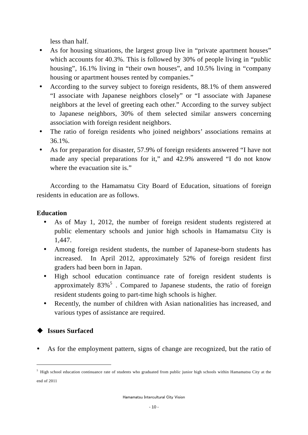less than half.

- As for housing situations, the largest group live in "private apartment houses" which accounts for 40.3%. This is followed by 30% of people living in "public" housing", 16.1% living in "their own houses", and 10.5% living in "company" housing or apartment houses rented by companies."
- According to the survey subject to foreign residents, 88.1% of them answered "I associate with Japanese neighbors closely" or "I associate with Japanese neighbors at the level of greeting each other." According to the survey subject to Japanese neighbors, 30% of them selected similar answers concerning association with foreign resident neighbors.
- The ratio of foreign residents who joined neighbors' associations remains at 36.1%.
- As for preparation for disaster, 57.9% of foreign residents answered "I have not made any special preparations for it," and 42.9% answered "I do not know where the evacuation site is."

According to the Hamamatsu City Board of Education, situations of foreign residents in education are as follows.

## **Education**

- As of May 1, 2012, the number of foreign resident students registered at public elementary schools and junior high schools in Hamamatsu City is 1,447.
- Among foreign resident students, the number of Japanese-born students has increased. In April 2012, approximately 52% of foreign resident first graders had been born in Japan.
- y High school education continuance rate of foreign resident students is approximately  $83\%$ <sup>5</sup>. Compared to Japanese students, the ratio of foreign resident students going to part-time high schools is higher.
- Recently, the number of children with Asian nationalities has increased, and various types of assistance are required.

## **Issues Surfaced**

1

As for the employment pattern, signs of change are recognized, but the ratio of

<sup>&</sup>lt;sup>5</sup> High school education continuance rate of students who graduated from public junior high schools within Hamamatsu City at the end of 2011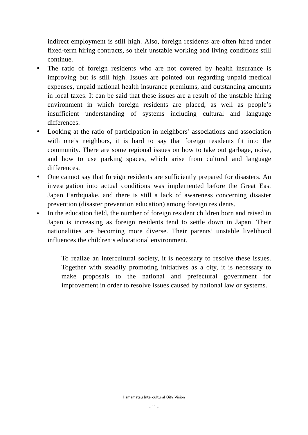indirect employment is still high. Also, foreign residents are often hired under fixed-term hiring contracts, so their unstable working and living conditions still continue.

- The ratio of foreign residents who are not covered by health insurance is improving but is still high. Issues are pointed out regarding unpaid medical expenses, unpaid national health insurance premiums, and outstanding amounts in local taxes. It can be said that these issues are a result of the unstable hiring environment in which foreign residents are placed, as well as people's insufficient understanding of systems including cultural and language differences.
- Looking at the ratio of participation in neighbors' associations and association with one's neighbors, it is hard to say that foreign residents fit into the community. There are some regional issues on how to take out garbage, noise, and how to use parking spaces, which arise from cultural and language differences.
- One cannot say that foreign residents are sufficiently prepared for disasters. An investigation into actual conditions was implemented before the Great East Japan Earthquake, and there is still a lack of awareness concerning disaster prevention (disaster prevention education) among foreign residents.
- In the education field, the number of foreign resident children born and raised in Japan is increasing as foreign residents tend to settle down in Japan. Their nationalities are becoming more diverse. Their parents' unstable livelihood influences the children's educational environment.

To realize an intercultural society, it is necessary to resolve these issues. Together with steadily promoting initiatives as a city, it is necessary to make proposals to the national and prefectural government for improvement in order to resolve issues caused by national law or systems.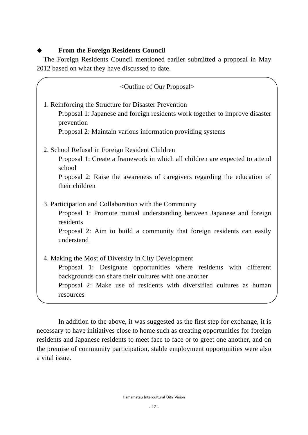## **From the Foreign Residents Council**

The Foreign Residents Council mentioned earlier submitted a proposal in May 2012 based on what they have discussed to date.

<Outline of Our Proposal> 1. Reinforcing the Structure for Disaster Prevention Proposal 1: Japanese and foreign residents work together to improve disaster prevention Proposal 2: Maintain various information providing systems 2. School Refusal in Foreign Resident Children Proposal 1: Create a framework in which all children are expected to attend school Proposal 2: Raise the awareness of caregivers regarding the education of their children 3. Participation and Collaboration with the Community Proposal 1: Promote mutual understanding between Japanese and foreign residents Proposal 2: Aim to build a community that foreign residents can easily understand 4. Making the Most of Diversity in City Development Proposal 1: Designate opportunities where residents with different backgrounds can share their cultures with one another Proposal 2: Make use of residents with diversified cultures as human resources

In addition to the above, it was suggested as the first step for exchange, it is necessary to have initiatives close to home such as creating opportunities for foreign residents and Japanese residents to meet face to face or to greet one another, and on the premise of community participation, stable employment opportunities were also a vital issue.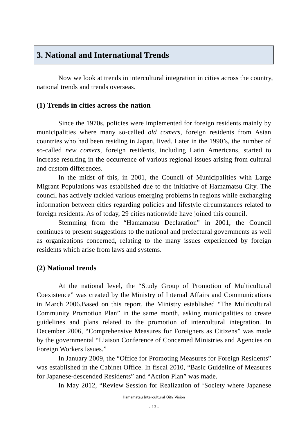## **3. National and International Trends**

Now we look at trends in intercultural integration in cities across the country, national trends and trends overseas.

## **(1) Trends in cities across the nation**

Since the 1970s, policies were implemented for foreign residents mainly by municipalities where many so-called *old comers*, foreign residents from Asian countries who had been residing in Japan, lived. Later in the 1990's, the number of so-called *new comers*, foreign residents, including Latin Americans, started to increase resulting in the occurrence of various regional issues arising from cultural and custom differences.

In the midst of this, in 2001, the Council of Municipalities with Large Migrant Populations was established due to the initiative of Hamamatsu City. The council has actively tackled various emerging problems in regions while exchanging information between cities regarding policies and lifestyle circumstances related to foreign residents. As of today, 29 cities nationwide have joined this council.

Stemming from the "Hamamatsu Declaration" in 2001, the Council continues to present suggestions to the national and prefectural governments as well as organizations concerned, relating to the many issues experienced by foreign residents which arise from laws and systems.

## **(2) National trends**

At the national level, the "Study Group of Promotion of Multicultural Coexistence" was created by the Ministry of Internal Affairs and Communications in March 2006.Based on this report, the Ministry established "The Multicultural Community Promotion Plan" in the same month, asking municipalities to create guidelines and plans related to the promotion of intercultural integration. In December 2006, "Comprehensive Measures for Foreigners as Citizens" was made by the governmental "Liaison Conference of Concerned Ministries and Agencies on Foreign Workers Issues."

In January 2009, the "Office for Promoting Measures for Foreign Residents" was established in the Cabinet Office. In fiscal 2010, "Basic Guideline of Measures for Japanese-descended Residents" and "Action Plan" was made.

In May 2012, "Review Session for Realization of 'Society where Japanese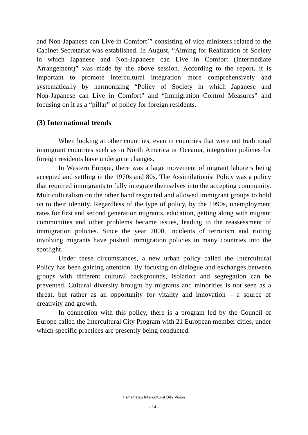and Non-Japanese can Live in Comfort'" consisting of vice ministers related to the Cabinet Secretariat was established. In August, "Aiming for Realization of Society in which Japanese and Non-Japanese can Live in Comfort (Intermediate Arrangement)" was made by the above session. According to the report, it is important to promote intercultural integration more comprehensively and systematically by harmonizing "Policy of Society in which Japanese and Non-Japanese can Live in Comfort" and "Immigration Control Measures" and focusing on it as a "pillar" of policy for foreign residents.

#### **(3) International trends**

When looking at other countries, even in countries that were not traditional immigrant countries such as in North America or Oceania, integration policies for foreign residents have undergone changes.

In Western Europe, there was a large movement of migrant laborers being accepted and settling in the 1970s and 80s. The Assimilationist Policy was a policy that required immigrants to fully integrate themselves into the accepting community. Multiculturalism on the other hand respected and allowed immigrant groups to hold on to their identity. Regardless of the type of policy, by the 1990s, unemployment rates for first and second generation migrants, education, getting along with migrant communities and other problems became issues, leading to the reassessment of immigration policies. Since the year 2000, incidents of terrorism and rioting involving migrants have pushed immigration policies in many countries into the spotlight.

Under these circumstances, a new urban policy called the Intercultural Policy has been gaining attention. By focusing on dialogue and exchanges between groups with different cultural backgrounds, isolation and segregation can be prevented. Cultural diversity brought by migrants and minorities is not seen as a threat, but rather as an opportunity for vitality and innovation – a source of creativity and growth.

In connection with this policy, there is a program led by the Council of Europe called the Intercultural City Program with 21 European member cities, under which specific practices are presently being conducted.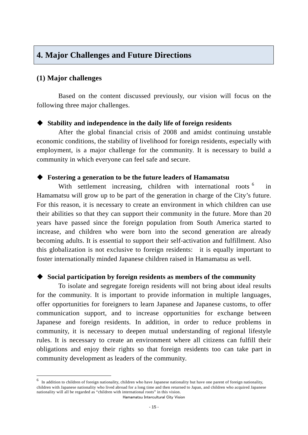## **4. Major Challenges and Future Directions**

#### **(1) Major challenges**

1

Based on the content discussed previously, our vision will focus on the following three major challenges.

#### **Stability and independence in the daily life of foreign residents**

After the global financial crisis of 2008 and amidst continuing unstable economic conditions, the stability of livelihood for foreign residents, especially with employment, is a major challenge for the community. It is necessary to build a community in which everyone can feel safe and secure.

#### **Fostering a generation to be the future leaders of Hamamatsu**

With settlement increasing, children with international roots <sup>6</sup> in Hamamatsu will grow up to be part of the generation in charge of the City's future. For this reason, it is necessary to create an environment in which children can use their abilities so that they can support their community in the future. More than 20 years have passed since the foreign population from South America started to increase, and children who were born into the second generation are already becoming adults. It is essential to support their self-activation and fulfillment. Also this globalization is not exclusive to foreign residents: it is equally important to foster internationally minded Japanese children raised in Hamamatsu as well.

#### **Social participation by foreign residents as members of the community**

To isolate and segregate foreign residents will not bring about ideal results for the community. It is important to provide information in multiple languages, offer opportunities for foreigners to learn Japanese and Japanese customs, to offer communication support, and to increase opportunities for exchange between Japanese and foreign residents. In addition, in order to reduce problems in community, it is necessary to deepen mutual understanding of regional lifestyle rules. It is necessary to create an environment where all citizens can fulfill their obligations and enjoy their rights so that foreign residents too can take part in community development as leaders of the community.

Hamamatsu Intercultural City Vision In addition to children of foreign nationality, children who have Japanese nationality but have one parent of foreign nationality, children with Japanese nationality who lived abroad for a long time and then returned to Japan, and children who acquired Japanese nationality will all be regarded as "children with international roots" in this vision.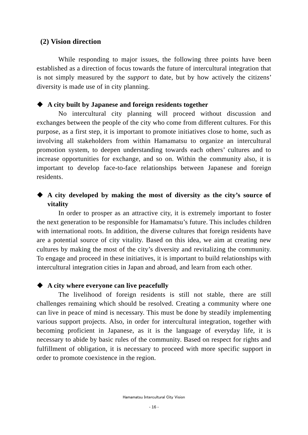#### **(2) Vision direction**

While responding to major issues, the following three points have been established as a direction of focus towards the future of intercultural integration that is not simply measured by the *support* to date, but by how actively the citizens' diversity is made use of in city planning.

#### **A city built by Japanese and foreign residents together**

No intercultural city planning will proceed without discussion and exchanges between the people of the city who come from different cultures. For this purpose, as a first step, it is important to promote initiatives close to home, such as involving all stakeholders from within Hamamatsu to organize an intercultural promotion system, to deepen understanding towards each others' cultures and to increase opportunities for exchange, and so on. Within the community also, it is important to develop face-to-face relationships between Japanese and foreign residents.

## **A city developed by making the most of diversity as the city's source of vitality**

In order to prosper as an attractive city, it is extremely important to foster the next generation to be responsible for Hamamatsu's future. This includes children with international roots. In addition, the diverse cultures that foreign residents have are a potential source of city vitality. Based on this idea, we aim at creating new cultures by making the most of the city's diversity and revitalizing the community. To engage and proceed in these initiatives, it is important to build relationships with intercultural integration cities in Japan and abroad, and learn from each other.

#### **A city where everyone can live peacefully**

The livelihood of foreign residents is still not stable, there are still challenges remaining which should be resolved. Creating a community where one can live in peace of mind is necessary. This must be done by steadily implementing various support projects. Also, in order for intercultural integration, together with becoming proficient in Japanese, as it is the language of everyday life, it is necessary to abide by basic rules of the community. Based on respect for rights and fulfillment of obligation, it is necessary to proceed with more specific support in order to promote coexistence in the region.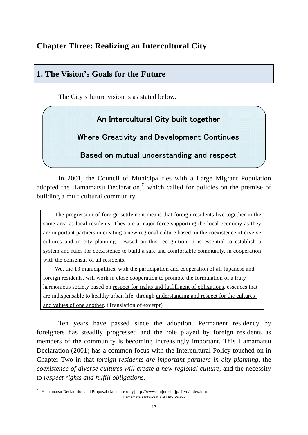## **Chapter Three: Realizing an Intercultural City**

## **1. The Vision's Goals for the Future**

The City's future vision is as stated below.

## An Intercultural City built together

Where Creativity and Development Continues

Based on mutual understanding and respect

In 2001, the Council of Municipalities with a Large Migrant Population adopted the Hamamatsu Declaration,<sup>7</sup> which called for policies on the premise of building a multicultural community.

The progression of foreign settlement means that foreign residents live together in the same area as local residents. They are a major force supporting the local economy as they are important partners in creating a new regional culture based on the coexistence of diverse cultures and in city planning. Based on this recognition, it is essential to establish a system and rules for coexistence to build a safe and comfortable community, in cooperation with the consensus of all residents.

We, the 13 municipalities, with the participation and cooperation of all Japanese and foreign residents, will work in close cooperation to promote the formulation of a truly harmonious society based on respect for rights and fulfillment of obligations, essences that are indispensable to healthy urban life, through understanding and respect for the cultures and values of one another. (Translation of excerpt)

Ten years have passed since the adoption. Permanent residency by foreigners has steadily progressed and the role played by foreign residents as members of the community is becoming increasingly important. This Hamamatsu Declaration (2001) has a common focus with the Intercultural Policy touched on in Chapter Two in that *foreign residents are important partners in city planning*, the *coexistence of diverse cultures will create a new regional culture*, and the necessity to *respect rights and fulfill obligations*.

1

Hamamatsu Intercultural City Vision <sup>7</sup> Hamamatsu Declaration and Proposal (Japanese only)http://www.shujutoshi.jp/siryo/index.htm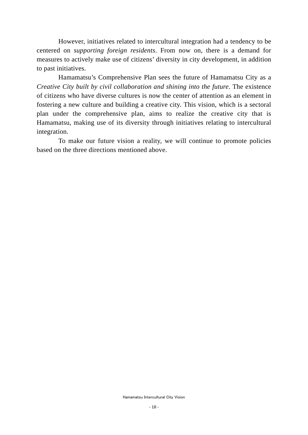However, initiatives related to intercultural integration had a tendency to be centered on *supporting foreign residents*. From now on, there is a demand for measures to actively make use of citizens' diversity in city development, in addition to past initiatives.

Hamamatsu's Comprehensive Plan sees the future of Hamamatsu City as a *Creative City built by civil collaboration and shining into the future*. The existence of citizens who have diverse cultures is now the center of attention as an element in fostering a new culture and building a creative city. This vision, which is a sectoral plan under the comprehensive plan, aims to realize the creative city that is Hamamatsu, making use of its diversity through initiatives relating to intercultural integration.

To make our future vision a reality, we will continue to promote policies based on the three directions mentioned above.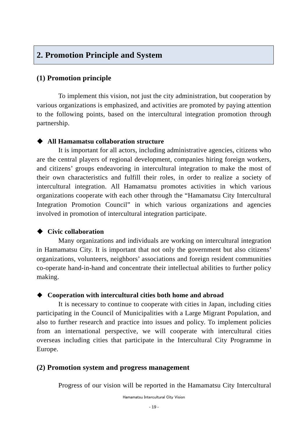## **2. Promotion Principle and System**

### **(1) Promotion principle**

To implement this vision, not just the city administration, but cooperation by various organizations is emphasized, and activities are promoted by paying attention to the following points, based on the intercultural integration promotion through partnership.

#### **All Hamamatsu collaboration structure**

It is important for all actors, including administrative agencies, citizens who are the central players of regional development, companies hiring foreign workers, and citizens' groups endeavoring in intercultural integration to make the most of their own characteristics and fulfill their roles, in order to realize a society of intercultural integration. All Hamamatsu promotes activities in which various organizations cooperate with each other through the "Hamamatsu City Intercultural Integration Promotion Council" in which various organizations and agencies involved in promotion of intercultural integration participate.

#### **Civic collaboration**

Many organizations and individuals are working on intercultural integration in Hamamatsu City. It is important that not only the government but also citizens' organizations, volunteers, neighbors' associations and foreign resident communities co-operate hand-in-hand and concentrate their intellectual abilities to further policy making.

#### **Cooperation with intercultural cities both home and abroad**

It is necessary to continue to cooperate with cities in Japan, including cities participating in the Council of Municipalities with a Large Migrant Population, and also to further research and practice into issues and policy. To implement policies from an international perspective, we will cooperate with intercultural cities overseas including cities that participate in the Intercultural City Programme in Europe.

#### **(2) Promotion system and progress management**

Progress of our vision will be reported in the Hamamatsu City Intercultural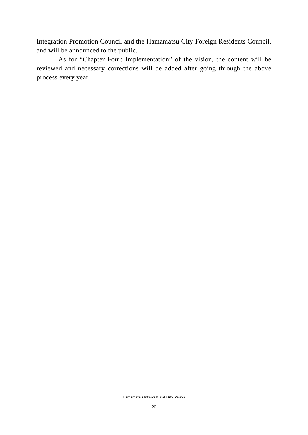Integration Promotion Council and the Hamamatsu City Foreign Residents Council, and will be announced to the public.

As for "Chapter Four: Implementation" of the vision, the content will be reviewed and necessary corrections will be added after going through the above process every year.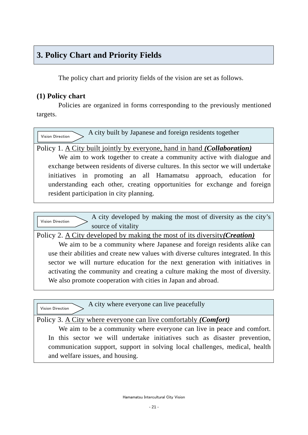## **3. Policy Chart and Priority Fields**

The policy chart and priority fields of the vision are set as follows.

## **(1) Policy chart**

Policies are organized in forms corresponding to the previously mentioned targets.

 A city built by Japanese and foreign residents together Policy 1. A City built jointly by everyone, hand in hand *(Collaboration)* We aim to work together to create a community active with dialogue and exchange between residents of diverse cultures. In this sector we will undertake initiatives in promoting an all Hamamatsu approach, education for understanding each other, creating opportunities for exchange and foreign resident participation in city planning. Vision Direction

A city developed by making the most of diversity as the city's source of vitality Vision Direction

Policy 2. A City developed by making the most of its diversity*(Creation)*

We aim to be a community where Japanese and foreign residents alike can use their abilities and create new values with diverse cultures integrated. In this sector we will nurture education for the next generation with initiatives in activating the community and creating a culture making the most of diversity. We also promote cooperation with cities in Japan and abroad.

| Vision Direction                      | A city where everyone can live peacefully |
|---------------------------------------|-------------------------------------------|
| $\mathbf{R}$ is a set of $\mathbf{R}$ | $\alpha$ 11 $\alpha$ $\alpha$ $\beta$     |

## Policy 3. A City where everyone can live comfortably *(Comfort)*

We aim to be a community where everyone can live in peace and comfort. In this sector we will undertake initiatives such as disaster prevention, communication support, support in solving local challenges, medical, health and welfare issues, and housing.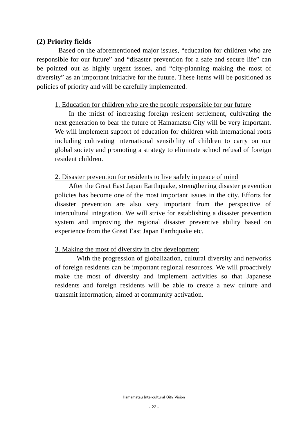## **(2) Priority fields**

Based on the aforementioned major issues, "education for children who are responsible for our future" and "disaster prevention for a safe and secure life" can be pointed out as highly urgent issues, and "city-planning making the most of diversity" as an important initiative for the future. These items will be positioned as policies of priority and will be carefully implemented.

### 1. Education for children who are the people responsible for our future

In the midst of increasing foreign resident settlement, cultivating the next generation to bear the future of Hamamatsu City will be very important. We will implement support of education for children with international roots including cultivating international sensibility of children to carry on our global society and promoting a strategy to eliminate school refusal of foreign resident children.

#### 2. Disaster prevention for residents to live safely in peace of mind

After the Great East Japan Earthquake, strengthening disaster prevention policies has become one of the most important issues in the city. Efforts for disaster prevention are also very important from the perspective of intercultural integration. We will strive for establishing a disaster prevention system and improving the regional disaster preventive ability based on experience from the Great East Japan Earthquake etc.

### 3. Making the most of diversity in city development

With the progression of globalization, cultural diversity and networks of foreign residents can be important regional resources. We will proactively make the most of diversity and implement activities so that Japanese residents and foreign residents will be able to create a new culture and transmit information, aimed at community activation.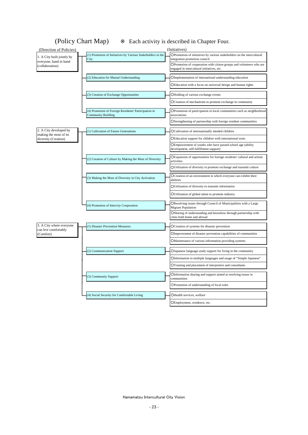(Policy Chart Map) Each activity is described in Chapter Four.

| (Direction of Policies)                          |                                                                                   | (Initiatives)                                                                                                      |
|--------------------------------------------------|-----------------------------------------------------------------------------------|--------------------------------------------------------------------------------------------------------------------|
| 1. A City built jointly by                       | (1) Promotion of Initiatives by Various Stakeholders in the<br>City               | OPromotion of initiatives by various stakeholders on the intercultural<br>integration promotion council            |
| everyone, hand in hand<br>(collaboration)        |                                                                                   | OPromotion of cooperation with citizen groups and volunteers who are<br>engaged in intercultural initiatives, etc. |
|                                                  | (2) Education for Mutual Understanding                                            | OImplementation of international understanding education                                                           |
|                                                  |                                                                                   | OEducation with a focus on universal design and human rights                                                       |
|                                                  | (3) Creation of Exchange Opportunities                                            | OHolding of various exchange events                                                                                |
|                                                  |                                                                                   | OCreation of mechanisms to promote exchange in community                                                           |
|                                                  | (4) Promotion of Foreign Residents' Participation in<br><b>Community Building</b> | OPromotion of participation in local communities such as neighborhood<br>associations                              |
|                                                  |                                                                                   | OStrengthening of partnership with foreign resident communities                                                    |
| 2. A City developed by<br>making the most of its | (1) Cultivation of Future Generations                                             | OCultivation of internationally minded children                                                                    |
| diversity (Creation)                             |                                                                                   | OEducation support for children with international roots                                                           |
|                                                  |                                                                                   | OEmpowerment of youths who have passed school age (ability<br>development, self-fulfillment support)               |
|                                                  | (2) Creation of Culture by Making the Most of Diversity                           | OExpansion of opportunities for foreign residents' cultural and artistic<br>activities                             |
|                                                  |                                                                                   | OUtilization of diversity to promote exchange and transmit culture                                                 |
|                                                  | (3) Making the Most of Diversity in City Activation                               | OCreation of an environment in which everyone can exhibit their<br>abilities                                       |
|                                                  |                                                                                   | OUtilization of diversity to transmit information                                                                  |
|                                                  |                                                                                   | OUtilization of global talent to promote industry                                                                  |
|                                                  | (4) Promotion of Intercity Cooperation                                            | OResolving issues through Council of Municipalities with a Large<br><b>Migrant Population</b>                      |
|                                                  |                                                                                   | OSharing of understanding and knowhow through partnership with<br>cities both home and abroad                      |
| 3. A City where everyone<br>can live comfortably | (1) Disaster Prevention Measures                                                  | OCreation of systems for disaster prevention                                                                       |
| (Comfort)                                        |                                                                                   | OImprovement of disaster prevention capabilities of communities                                                    |
|                                                  |                                                                                   | OMaintenance of various information providing systems                                                              |
|                                                  | (2) Communication Support                                                         | OJapanese language study support for living in the community                                                       |
|                                                  |                                                                                   | OInformation in multiple languages and usage of "Simple Japanese"                                                  |
|                                                  |                                                                                   | OTraining and placement of interpreters and consultants                                                            |
|                                                  | (3) Community Support                                                             | OInformation sharing and support aimed at resolving issues in<br>communities                                       |
|                                                  |                                                                                   | OPromotion of understanding of local rules                                                                         |
|                                                  | (4) Social Security for Comfortable Living                                        | OHealth services, welfare                                                                                          |
|                                                  |                                                                                   | OEmployment, residence, etc.                                                                                       |

Hamamatsu Intercultural City Vision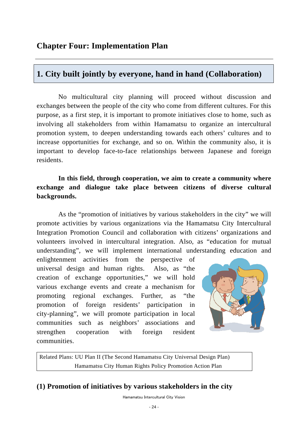## **1. City built jointly by everyone, hand in hand (Collaboration)**

No multicultural city planning will proceed without discussion and exchanges between the people of the city who come from different cultures. For this purpose, as a first step, it is important to promote initiatives close to home, such as involving all stakeholders from within Hamamatsu to organize an intercultural promotion system, to deepen understanding towards each others' cultures and to increase opportunities for exchange, and so on. Within the community also, it is important to develop face-to-face relationships between Japanese and foreign residents.

## **In this field, through cooperation, we aim to create a community where exchange and dialogue take place between citizens of diverse cultural backgrounds.**

As the "promotion of initiatives by various stakeholders in the city" we will promote activities by various organizations via the Hamamatsu City Intercultural Integration Promotion Council and collaboration with citizens' organizations and volunteers involved in intercultural integration. Also, as "education for mutual understanding", we will implement international understanding education and

enlightenment activities from the perspective of universal design and human rights. Also, as "the creation of exchange opportunities," we will hold various exchange events and create a mechanism for promoting regional exchanges. Further, as "the promotion of foreign residents' participation in city-planning", we will promote participation in local communities such as neighbors' associations and strengthen cooperation with foreign resident communities.



Related Plans: UU Plan II (The Second Hamamatsu City Universal Design Plan) Hamamatsu City Human Rights Policy Promotion Action Plan

## **(1) Promotion of initiatives by various stakeholders in the city**

Hamamatsu Intercultural City Vision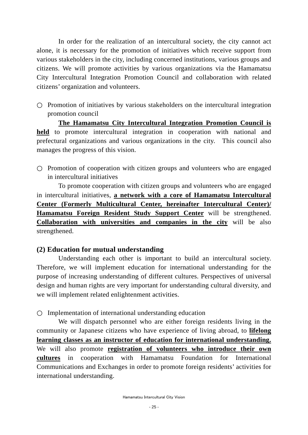In order for the realization of an intercultural society, the city cannot act alone, it is necessary for the promotion of initiatives which receive support from various stakeholders in the city, including concerned institutions, various groups and citizens. We will promote activities by various organizations via the Hamamatsu City Intercultural Integration Promotion Council and collaboration with related citizens' organization and volunteers.

Promotion of initiatives by various stakeholders on the intercultural integration promotion council

**The Hamamatsu City Intercultural Integration Promotion Council is held** to promote intercultural integration in cooperation with national and prefectural organizations and various organizations in the city. This council also manages the progress of this vision.

Promotion of cooperation with citizen groups and volunteers who are engaged in intercultural initiatives

To promote cooperation with citizen groups and volunteers who are engaged in intercultural initiatives, **a network with a core of Hamamatsu Intercultural Center (Formerly Multicultural Center, hereinafter Intercultural Center)/ Hamamatsu Foreign Resident Study Support Center** will be strengthened. **Collaboration with universities and companies in the city** will be also strengthened.

### **(2) Education for mutual understanding**

Understanding each other is important to build an intercultural society. Therefore, we will implement education for international understanding for the purpose of increasing understanding of different cultures. Perspectives of universal design and human rights are very important for understanding cultural diversity, and we will implement related enlightenment activities.

Implementation of international understanding education

We will dispatch personnel who are either foreign residents living in the community or Japanese citizens who have experience of living abroad, to **lifelong learning classes as an instructor of education for international understanding.**  We will also promote **registration of volunteers who introduce their own cultures** in cooperation with Hamamatsu Foundation for International Communications and Exchanges in order to promote foreign residents' activities for international understanding.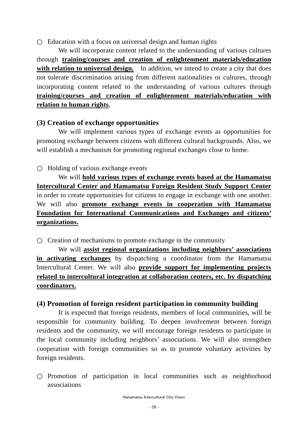Education with a focus on universal design and human rights

We will incorporate content related to the understanding of various cultures through **training/courses and creation of enlightenment materials/education**  with relation to universal design. In addition, we intend to create a city that does not tolerate discrimination arising from different nationalities or cultures, through incorporating content related to the understanding of various cultures through **training/courses and creation of enlightenment materials/education with relation to human rights**,

### **(3) Creation of exchange opportunities**

We will implement various types of exchange events as opportunities for promoting exchange between citizens with different cultural backgrounds. Also, we will establish a mechanism for promoting regional exchanges close to home.

#### Holding of various exchange events

We will **hold various types of exchange events based at the Hamamatsu Intercultural Center and Hamamatsu Foreign Resident Study Support Center**  in order to create opportunities for citizens to engage in exchange with one another. We will also **promote exchange events in cooperation with Hamamatsu Foundation for International Communications and Exchanges and citizens' organizations.**

Creation of mechanisms to promote exchange in the community

We will **assist regional organizations including neighbors' associations in activating exchanges** by dispatching a coordinator from the Hamamatsu Intercultural Center. We will also **provide support for implementing projects related to intercultural integration at collaboration centers, etc. by dispatching coordinators.**

#### **(4) Promotion of foreign resident participation in community building**

It is expected that foreign residents, members of local communities, will be responsible for community building. To deepen involvement between foreign residents and the community, we will encourage foreign residents to participate in the local community including neighbors' associations. We will also strengthen cooperation with foreign communities so as to promote voluntary activities by foreign residents.

Promotion of participation in local communities such as neighborhood associations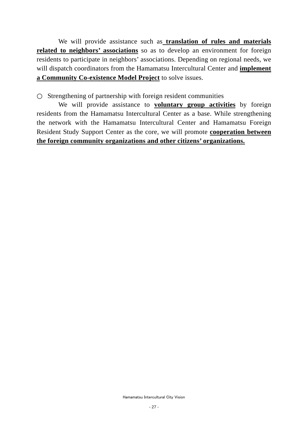We will provide assistance such as **translation of rules and materials related to neighbors' associations** so as to develop an environment for foreign residents to participate in neighbors' associations. Depending on regional needs, we will dispatch coordinators from the Hamamatsu Intercultural Center and **implement a Community Co-existence Model Project** to solve issues.

Strengthening of partnership with foreign resident communities

We will provide assistance to **voluntary group activities** by foreign residents from the Hamamatsu Intercultural Center as a base. While strengthening the network with the Hamamatsu Intercultural Center and Hamamatsu Foreign Resident Study Support Center as the core, we will promote **cooperation between the foreign community organizations and other citizens' organizations.**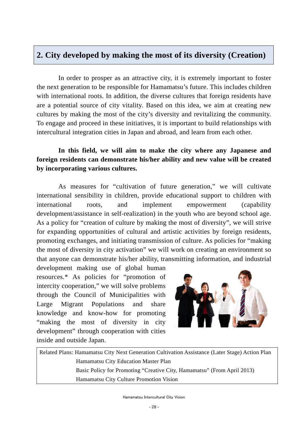## **2. City developed by making the most of its diversity (Creation)**

In order to prosper as an attractive city, it is extremely important to foster the next generation to be responsible for Hamamatsu's future. This includes children with international roots. In addition, the diverse cultures that foreign residents have are a potential source of city vitality. Based on this idea, we aim at creating new cultures by making the most of the city's diversity and revitalizing the community. To engage and proceed in these initiatives, it is important to build relationships with intercultural integration cities in Japan and abroad, and learn from each other.

## **In this field, we will aim to make the city where any Japanese and foreign residents can demonstrate his/her ability and new value will be created by incorporating various cultures.**

As measures for "cultivation of future generation," we will cultivate international sensibility in children, provide educational support to children with international roots, and implement empowerment (capability development/assistance in self-realization) in the youth who are beyond school age. As a policy for "creation of culture by making the most of diversity", we will strive for expanding opportunities of cultural and artistic activities by foreign residents, promoting exchanges, and initiating transmission of culture. As policies for "making the most of diversity in city activation" we will work on creating an environment so that anyone can demonstrate his/her ability, transmitting information, and industrial

development making use of global human resources.\* As policies for "promotion of intercity cooperation," we will solve problems through the Council of Municipalities with Large Migrant Populations and share knowledge and know-how for promoting "making the most of diversity in city development" through cooperation with cities inside and outside Japan.



Related Plans: Hamamatsu City Next Generation Cultivation Assistance (Later Stage) Action Plan Hamamatsu City Education Master Plan Basic Policy for Promoting "Creative City, Hamamatsu" (From April 2013) Hamamatsu City Culture Promotion Vision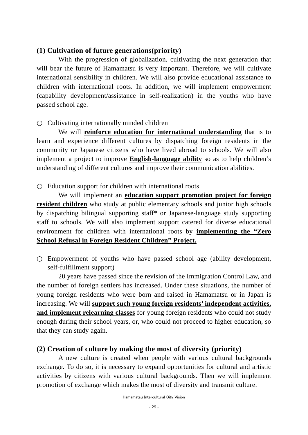#### **(1) Cultivation of future generations(priority)**

With the progression of globalization, cultivating the next generation that will bear the future of Hamamatsu is very important. Therefore, we will cultivate international sensibility in children. We will also provide educational assistance to children with international roots. In addition, we will implement empowerment (capability development/assistance in self-realization) in the youths who have passed school age.

Cultivating internationally minded children

We will **reinforce education for international understanding** that is to learn and experience different cultures by dispatching foreign residents in the community or Japanese citizens who have lived abroad to schools. We will also implement a project to improve **English-language ability** so as to help children's understanding of different cultures and improve their communication abilities.

Education support for children with international roots

We will implement an **education support promotion project for foreign resident children** who study at public elementary schools and junior high schools by dispatching bilingual supporting staff\* or Japanese-language study supporting staff to schools. We will also implement support catered for diverse educational environment for children with international roots by **implementing the "Zero School Refusal in Foreign Resident Children" Project.**

Empowerment of youths who have passed school age (ability development, self-fulfillment support)

20 years have passed since the revision of the Immigration Control Law, and the number of foreign settlers has increased. Under these situations, the number of young foreign residents who were born and raised in Hamamatsu or in Japan is increasing. We will **support such young foreign residents' independent activities, and implement relearning classes** for young foreign residents who could not study enough during their school years, or, who could not proceed to higher education, so that they can study again.

### **(2) Creation of culture by making the most of diversity (priority)**

A new culture is created when people with various cultural backgrounds exchange. To do so, it is necessary to expand opportunities for cultural and artistic activities by citizens with various cultural backgrounds. Then we will implement promotion of exchange which makes the most of diversity and transmit culture.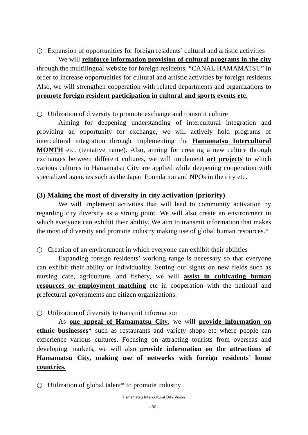Expansion of opportunities for foreign residents' cultural and artistic activities

We will **reinforce information provision of cultural programs in the city** through the multilingual website for foreign residents, "CANAL HAMAMATSU" in order to increase opportunities for cultural and artistic activities by foreign residents. Also, we will strengthen cooperation with related departments and organizations to **promote foreign resident participation in cultural and sports events etc.**

Utilization of diversity to promote exchange and transmit culture

Aiming for deepening understanding of intercultural integration and providing an opportunity for exchange, we will actively hold programs of intercultural integration through implementing the **Hamamatsu Intercultural MONTH** etc. (tentative name). Also, aiming for creating a new culture through exchanges between different cultures, we will implement **art projects** to which various cultures in Hamamatsu City are applied while deepening cooperation with specialized agencies such as the Japan Foundation and NPOs in the city etc.

## **(3) Making the most of diversity in city activation (priority)**

We will implement activities that will lead to community activation by regarding city diversity as a strong point. We will also create an environment in which everyone can exhibit their ability. We aim to transmit information that makes the most of diversity and promote industry making use of global human resources.\*

Creation of an environment in which everyone can exhibit their abilities

Expanding foreign residents' working range is necessary so that everyone can exhibit their ability or individuality. Setting our sights on new fields such as nursing care, agriculture, and fishery, we will **assist in cultivating human resources or employment matching** etc in cooperation with the national and prefectural governments and citizen organizations.

Utilization of diversity to transmit information

As **one appeal of Hamamatsu City**, we will **provide information on ethnic businesses**<sup>\*</sup> such as restaurants and variety shops etc where people can experience various cultures. Focusing on attracting tourists from overseas and developing markets, we will also **provide information on the attractions of Hamamatsu City, making use of networks with foreign residents' home countries.**

Utilization of global talent<sup>\*</sup> to promote industry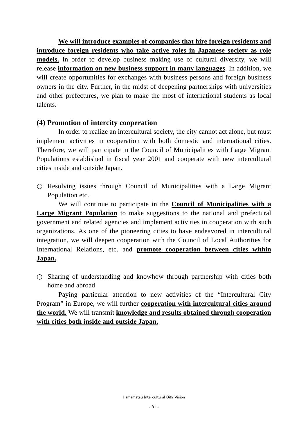**We will introduce examples of companies that hire foreign residents and introduce foreign residents who take active roles in Japanese society as role models.** In order to develop business making use of cultural diversity, we will release **information on new business support in many languages**. In addition, we will create opportunities for exchanges with business persons and foreign business owners in the city. Further, in the midst of deepening partnerships with universities and other prefectures, we plan to make the most of international students as local talents.

### **(4) Promotion of intercity cooperation**

In order to realize an intercultural society, the city cannot act alone, but must implement activities in cooperation with both domestic and international cities. Therefore, we will participate in the Council of Municipalities with Large Migrant Populations established in fiscal year 2001 and cooperate with new intercultural cities inside and outside Japan.

Resolving issues through Council of Municipalities with a Large Migrant Population etc.

We will continue to participate in the **Council of Municipalities with a Large Migrant Population** to make suggestions to the national and prefectural government and related agencies and implement activities in cooperation with such organizations. As one of the pioneering cities to have endeavored in intercultural integration, we will deepen cooperation with the Council of Local Authorities for International Relations, etc. and **promote cooperation between cities within Japan.**

Sharing of understanding and knowhow through partnership with cities both home and abroad

Paying particular attention to new activities of the "Intercultural City Program" in Europe, we will further **cooperation with intercultural cities around the world.** We will transmit **knowledge and results obtained through cooperation with cities both inside and outside Japan.**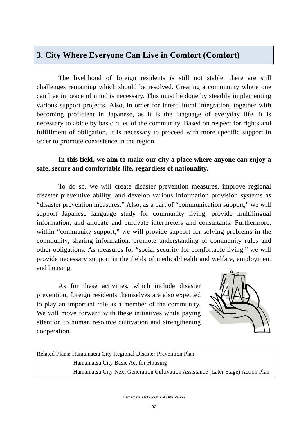## **3. City Where Everyone Can Live in Comfort (Comfort)**

The livelihood of foreign residents is still not stable, there are still challenges remaining which should be resolved. Creating a community where one can live in peace of mind is necessary. This must be done by steadily implementing various support projects. Also, in order for intercultural integration, together with becoming proficient in Japanese, as it is the language of everyday life, it is necessary to abide by basic rules of the community. Based on respect for rights and fulfillment of obligation, it is necessary to proceed with more specific support in order to promote coexistence in the region.

## **In this field, we aim to make our city a place where anyone can enjoy a safe, secure and comfortable life, regardless of nationality.**

To do so, we will create disaster prevention measures, improve regional disaster preventive ability, and develop various information provision systems as "disaster prevention measures." Also, as a part of "communication support," we will support Japanese language study for community living, provide multilingual information, and allocate and cultivate interpreters and consultants. Furthermore, within "community support," we will provide support for solving problems in the community, sharing information, promote understanding of community rules and other obligations. As measures for "social security for comfortable living," we will provide necessary support in the fields of medical/health and welfare, employment and housing.

As for these activities, which include disaster prevention, foreign residents themselves are also expected to play an important role as a member of the community. We will move forward with these initiatives while paying attention to human resource cultivation and strengthening cooperation.



Related Plans: Hamamatsu City Regional Disaster Prevention Plan Hamamatsu City Basic Act for Housing Hamamatsu City Next Generation Cultivation Assistance (Later Stage) Action Plan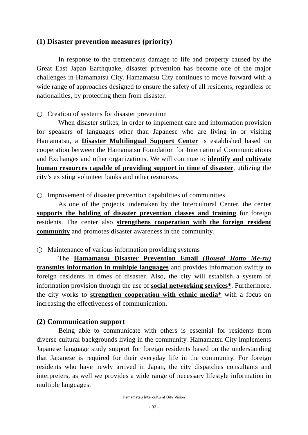#### **(1) Disaster prevention measures (priority)**

In response to the tremendous damage to life and property caused by the Great East Japan Earthquake, disaster prevention has become one of the major challenges in Hamamatsu City. Hamamatsu City continues to move forward with a wide range of approaches designed to ensure the safety of all residents, regardless of nationalities, by protecting them from disaster.

Creation of systems for disaster prevention

When disaster strikes, in order to implement care and information provision for speakers of languages other than Japanese who are living in or visiting Hamamatsu, a **Disaster Multilingual Support Center** is established based on cooperation between the Hamamatsu Foundation for International Communications and Exchanges and other organizations. We will continue to **identify and cultivate human resources capable of providing support in time of disaster**, utilizing the city's existing volunteer banks and other resources.

Improvement of disaster prevention capabilities of communities

As one of the projects undertaken by the Intercultural Center, the center **supports the holding of disaster prevention classes and training** for foreign residents. The center also **strengthens cooperation with the foreign resident community** and promotes disaster awareness in the community.

Maintenance of various information providing systems

The **Hamamatsu Disaster Prevention Email (***Bousai Hotto Me-ru)*  **transmits information in multiple languages** and provides information swiftly to foreign residents in times of disaster. Also, the city will establish a system of information provision through the use of **social networking services\***. Furthermore, the city works to **strengthen cooperation with ethnic media\*** with a focus on increasing the effectiveness of communication.

#### **(2) Communication support**

Being able to communicate with others is essential for residents from diverse cultural backgrounds living in the community. Hamamatsu City implements Japanese language study support for foreign residents based on the understanding that Japanese is required for their everyday life in the community. For foreign residents who have newly arrived in Japan, the city dispatches consultants and interpreters, as well we provides a wide range of necessary lifestyle information in multiple languages.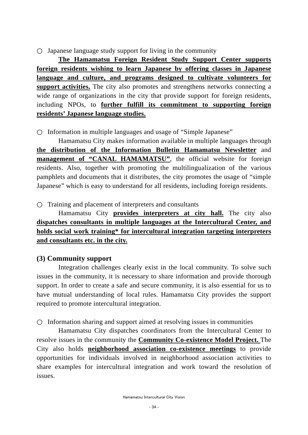Japanese language study support for living in the community

**The Hamamatsu Foreign Resident Study Support Center supports foreign residents wishing to learn Japanese by offering classes in Japanese language and culture, and programs designed to cultivate volunteers for support activities.** The city also promotes and strengthens networks connecting a wide range of organizations in the city that provide support for foreign residents, including NPOs, to **further fulfill its commitment to supporting foreign residents' Japanese language studies.**

Information in multiple languages and usage of "Simple Japanese"

Hamamatsu City makes information available in multiple languages through **the distribution of the Information Bulletin Hamamatsu Newsletter** and **management of "CANAL HAMAMATSU"**, the official website for foreign residents. Also, together with promoting the multilingualization of the various pamphlets and documents that it distributes, the city promotes the usage of "simple Japanese" which is easy to understand for all residents, including foreign residents.

Training and placement of interpreters and consultants

Hamamatsu City **provides interpreters at city hall.** The city also **dispatches consultants in multiple languages at the Intercultural Center, and holds social work training\* for intercultural integration targeting interpreters and consultants etc. in the city.**

## **(3) Community support**

Integration challenges clearly exist in the local community. To solve such issues in the community, it is necessary to share information and provide thorough support. In order to create a safe and secure community, it is also essential for us to have mutual understanding of local rules. Hamamatsu City provides the support required to promote intercultural integration.

Information sharing and support aimed at resolving issues in communities

Hamamatsu City dispatches coordinators from the Intercultural Center to resolve issues in the community the **Community Co-existence Model Project.** The City also holds **neighborhood association co-existence meetings** to provide opportunities for individuals involved in neighborhood association activities to share examples for intercultural integration and work toward the resolution of issues.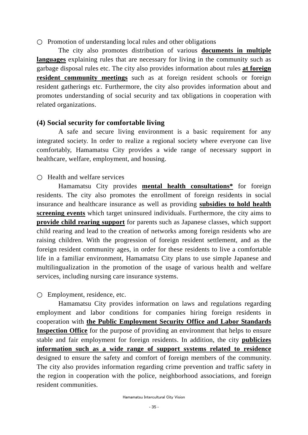Promotion of understanding local rules and other obligations

The city also promotes distribution of various **documents in multiple languages** explaining rules that are necessary for living in the community such as garbage disposal rules etc. The city also provides information about rules **at foreign resident community meetings** such as at foreign resident schools or foreign resident gatherings etc. Furthermore, the city also provides information about and promotes understanding of social security and tax obligations in cooperation with related organizations.

#### **(4) Social security for comfortable living**

A safe and secure living environment is a basic requirement for any integrated society. In order to realize a regional society where everyone can live comfortably, Hamamatsu City provides a wide range of necessary support in healthcare, welfare, employment, and housing.

#### Health and welfare services

Hamamatsu City provides **mental health consultations\*** for foreign residents. The city also promotes the enrollment of foreign residents in social insurance and healthcare insurance as well as providing **subsidies to hold health screening events** which target uninsured individuals. Furthermore, the city aims to **provide child rearing support** for parents such as Japanese classes, which support child rearing and lead to the creation of networks among foreign residents who are raising children. With the progression of foreign resident settlement, and as the foreign resident community ages, in order for these residents to live a comfortable life in a familiar environment, Hamamatsu City plans to use simple Japanese and multilingualization in the promotion of the usage of various health and welfare services, including nursing care insurance systems.

Employment, residence, etc.

Hamamatsu City provides information on laws and regulations regarding employment and labor conditions for companies hiring foreign residents in cooperation with **the Public Employment Security Office and Labor Standards Inspection Office** for the purpose of providing an environment that helps to ensure stable and fair employment for foreign residents. In addition, the city **publicizes information such as a wide range of support systems related to residence** designed to ensure the safety and comfort of foreign members of the community. The city also provides information regarding crime prevention and traffic safety in the region in cooperation with the police, neighborhood associations, and foreign resident communities.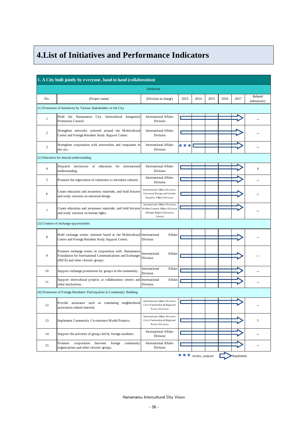## **4.List of Initiatives and Performance Indicators**

| 1. A City built jointly by everyone, hand in hand (collaboration) |                                                                                                                                                          |                                                                                                           |           |                 |      |      |           |                          |  |
|-------------------------------------------------------------------|----------------------------------------------------------------------------------------------------------------------------------------------------------|-----------------------------------------------------------------------------------------------------------|-----------|-----------------|------|------|-----------|--------------------------|--|
| <b>Initiatives</b>                                                |                                                                                                                                                          |                                                                                                           |           |                 |      |      |           |                          |  |
| No.                                                               | (Project name)                                                                                                                                           | (Division in charge)                                                                                      | 2013      | 2014            | 2015 | 2016 | 2017      | Related<br>indication(s) |  |
|                                                                   | (1) Promotion of Initiatives by Various Stakeholders in the City                                                                                         |                                                                                                           |           |                 |      |      |           |                          |  |
| $\mathbf{1}$                                                      | Hold the Hamamatsu City Intercultural Integration<br>Promotion Council.                                                                                  | <b>International Affairs</b><br>Division                                                                  |           |                 |      |      |           |                          |  |
| $\mathbf{2}$                                                      | Strengthen networks centered around the Multicultural<br>Center and Foreign Resident Study Support Center.                                               | <b>International Affairs</b><br>Division                                                                  |           |                 |      |      |           |                          |  |
| 3                                                                 | Strengthen cooperation with universities and companies in<br>the city.                                                                                   | <b>International Affairs</b><br>Division                                                                  |           |                 |      |      |           |                          |  |
|                                                                   | (2) Education for mutual understanding                                                                                                                   |                                                                                                           |           |                 |      |      |           |                          |  |
| $\overline{4}$                                                    | Dispatch instructors of education for<br>international<br>understanding.                                                                                 | <b>International Affairs</b><br>Division                                                                  |           |                 |      |      |           | $\overline{4}$           |  |
| 5                                                                 | Promote the registration of volunteers to introduce cultures.                                                                                            | <b>International Affairs</b><br>Division                                                                  |           |                 |      |      |           |                          |  |
| 6                                                                 | Create education and awareness materials, and hold lectures<br>and study sessions on universal design.                                                   | International Affairs Division,<br>Universal Design and Gender<br><b>Equality Affairs Division</b>        |           |                 |      |      |           |                          |  |
| $\tau$                                                            | Create education and awareness materials, and hold lectures<br>and study sessions on human rights.                                                       | International Affairs Division.<br>Welfare General Affairs Division<br>(Human Rights Education<br>Center) |           |                 |      |      |           |                          |  |
|                                                                   | (3) Creation of exchange opportunities                                                                                                                   |                                                                                                           |           |                 |      |      |           |                          |  |
| $\,$ 8 $\,$                                                       | Hold exchange events centered based at the Multicultural International<br>Center and Foreign Resident Study Support Center.                              | Affairs<br>Division                                                                                       |           |                 |      |      |           |                          |  |
| 9                                                                 | Promote exchange events in cooperation with Hamamatsu<br>Foundation for International Communications and Exchanges<br>(HICE) and other citizens' groups. | International<br>Affairs<br>Division                                                                      |           |                 |      |      |           |                          |  |
| 10                                                                | Support exchange promotions by groups in the community.                                                                                                  | International<br>Affairs<br>Division                                                                      |           |                 |      |      |           |                          |  |
| 11                                                                | Support intercultural projects at collaboration centers and<br>other institutions.                                                                       | International<br>Affairs<br>Division                                                                      |           |                 |      |      |           |                          |  |
|                                                                   | (4) Promotion of Foreign Residents' Participation in Community Building                                                                                  |                                                                                                           |           |                 |      |      |           |                          |  |
| 12                                                                | Provide assistance such as translating neighborhood<br>association related material.                                                                     | <b>International Affairs Division</b><br>Civic Partnership & Regional<br><b>Policy Division</b>           |           |                 |      |      |           |                          |  |
| 13                                                                | Implement Community Co-existence Model Projects.                                                                                                         | <b>International Affairs Division</b><br>Civic Partnership & Regional<br>Policy Division                  |           |                 |      |      |           | 5                        |  |
| 14                                                                | Support the activities of groups led by foreign residents.                                                                                               | <b>International Affairs</b><br>Division                                                                  |           |                 |      |      |           | -                        |  |
| 15                                                                | cooperation between<br>foreign<br>Promote<br>community<br>organizations and other citizens' groups.                                                      | <b>International Affairs</b><br>Division                                                                  |           |                 |      |      |           |                          |  |
|                                                                   |                                                                                                                                                          |                                                                                                           | El C<br>ш | review, prepare |      |      | Implement |                          |  |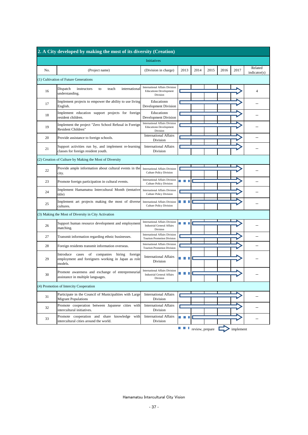| 2. A City developed by making the most of its diversity (Creation) |                                                                                                                          |                                                                                        |        |                 |      |      |           |                          |  |
|--------------------------------------------------------------------|--------------------------------------------------------------------------------------------------------------------------|----------------------------------------------------------------------------------------|--------|-----------------|------|------|-----------|--------------------------|--|
| <b>Initiatives</b>                                                 |                                                                                                                          |                                                                                        |        |                 |      |      |           |                          |  |
| No.                                                                | (Project name)                                                                                                           | (Division in charge)                                                                   | 2013   | 2014            | 2015 | 2016 | 2017      | Related<br>indication(s) |  |
|                                                                    | (1) Cultivation of Future Generations                                                                                    |                                                                                        |        |                 |      |      |           |                          |  |
| 16                                                                 | Dispatch<br>instructors<br>international<br>to<br>teach<br>understanding.                                                | <b>International Affairs Division</b><br><b>Educationn Development</b><br>Division     |        |                 |      |      |           | $\overline{4}$           |  |
| 17                                                                 | Implement projects to empower the ability to use living<br>English.                                                      | Educationn<br><b>Development Division</b>                                              |        |                 |      |      |           |                          |  |
| 18                                                                 | Implement education support projects for foreign<br>resident children.                                                   | Educationn<br>Development Division                                                     |        |                 |      |      |           |                          |  |
| 19                                                                 | Implement the project "Zero School Refusal in Foreign<br>Resident Children"                                              | <b>International Affairs Division</b><br><b>Educationn Development</b><br>Division     |        |                 |      |      |           |                          |  |
| 20                                                                 | Provide assistance to foreign schools.                                                                                   | <b>International Affairs</b><br>Division                                               |        |                 |      |      |           |                          |  |
| 21                                                                 | Support activities run by, and implement re-learning<br>classes for foreign resident youth.                              | <b>International Affairs</b><br>Division                                               |        |                 |      |      |           |                          |  |
|                                                                    | (2) Creation of Culture by Making the Most of Diversity                                                                  |                                                                                        |        |                 |      |      |           |                          |  |
| 22                                                                 | Provide ample information about cultural events in the<br>city.                                                          | <b>International Affairs Division</b><br><b>Culture Policy Division</b>                |        |                 |      |      |           |                          |  |
| 23                                                                 | Promote foreign participation in cultural events.                                                                        | <b>International Affairs Division</b><br><b>Culture Policy Division</b>                |        |                 |      |      |           |                          |  |
| 24                                                                 | Implement Hamamatsu Intercultural Month (tentative<br>title)                                                             | <b>International Affairs Division</b><br><b>Culture Policy Division</b>                |        |                 |      |      |           |                          |  |
| 25                                                                 | Implement art projects making the most of diverse<br>cultures.                                                           | <b>International Affairs Division</b><br><b>Culture Policy Division</b>                |        |                 |      |      |           |                          |  |
|                                                                    | (3) Making the Most of Diversity in City Activation                                                                      |                                                                                        |        |                 |      |      |           |                          |  |
| 26                                                                 | Support human resource development and employment<br>matching.                                                           | <b>International Affairs Division</b><br><b>Industrial General Affairs</b><br>Division |        |                 |      |      |           |                          |  |
| 27                                                                 | Transmit information regarding ethnic businesses.                                                                        | <b>International Affairs Division</b><br><b>Tourism Promotion Division</b>             |        |                 |      |      |           |                          |  |
| 28                                                                 | Foreign residents transmit information overseas.                                                                         | <b>International Affairs Division</b><br><b>Tourism Promotion Division</b>             |        |                 |      |      |           |                          |  |
| 29                                                                 | Introduce<br>cases<br>of companies<br>hiring<br>foreign<br>employment and foreigners working in Japan as role<br>models. | <b>International Affairs</b><br>Division                                               |        |                 |      |      |           |                          |  |
| 30                                                                 | Promote awareness and exchange of entrepreneurial<br>assistance in multiple languages.                                   | <b>International Affairs Division</b><br><b>Industrial General Affairs</b><br>Division |        |                 |      |      |           |                          |  |
|                                                                    | (4) Promotion of Intercity Cooperation                                                                                   |                                                                                        |        |                 |      |      |           |                          |  |
| 31                                                                 | Participate in the Council of Municipalities with Large<br><b>Migrant Populations</b>                                    | <b>International Affairs</b><br>Division                                               |        |                 |      |      |           |                          |  |
| 32                                                                 | Promote cooperation between Japanese cities with<br>intercultural initiatives.                                           | <b>International Affairs</b><br>Division                                               |        |                 |      |      |           |                          |  |
| 33                                                                 | Promote cooperation and share knowledge with<br>intercultural cities around the world.                                   | <b>International Affairs</b><br>Division                                               |        |                 |      |      |           |                          |  |
|                                                                    |                                                                                                                          |                                                                                        | e e la | review, prepare |      |      | implement |                          |  |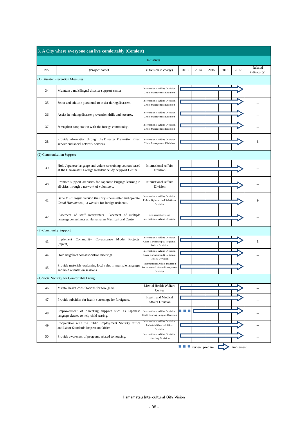|                                  | 3. A City where everyone can live comfortably (Comfort)                                                               |                                                                                                 |                   |      |      |      |      |                          |  |
|----------------------------------|-----------------------------------------------------------------------------------------------------------------------|-------------------------------------------------------------------------------------------------|-------------------|------|------|------|------|--------------------------|--|
|                                  |                                                                                                                       | <b>Initiatives</b>                                                                              |                   |      |      |      |      |                          |  |
| No.                              | (Project name)                                                                                                        | (Division in charge)                                                                            | 2013              | 2014 | 2015 | 2016 | 2017 | Related<br>indication(s) |  |
| (1) Disaster Prevention Measures |                                                                                                                       |                                                                                                 |                   |      |      |      |      |                          |  |
| 34                               | Maintain a multilingual disaster support center                                                                       | <b>International Affairs Division</b><br>Crisis Management Division                             |                   |      |      |      |      |                          |  |
| 35                               | Scout and educate personnel to assist during disasters.                                                               | International Affairs Division<br>Crisis Management Division                                    |                   |      |      |      |      |                          |  |
| 36                               | Assist in holding disaster prevention drills and lectures.                                                            | <b>International Affairs Division</b><br>Crisis Management Division                             |                   |      |      |      |      |                          |  |
| 37                               | Strengthen cooperation with the foreign community.                                                                    | <b>International Affairs Division</b><br>Crisis Management Division                             |                   |      |      |      |      |                          |  |
| 38                               | Provide information through the Disaster Prevention Email<br>service and social network services.                     | <b>International Affairs Division</b><br>Crisis Management Division                             |                   |      |      |      |      | 8                        |  |
|                                  | (2) Communication Support                                                                                             |                                                                                                 |                   |      |      |      |      |                          |  |
| 39                               | Hold Japanese language and volunteer training courses based<br>at the Hamamatsu Foreign Resident Study Support Center | <b>International Affairs</b><br>Division                                                        |                   |      |      |      |      |                          |  |
| 40                               | Promote support activities for Japanese language learning in<br>all cities through a network of volunteers.           | <b>International Affairs</b><br>Division                                                        |                   |      |      |      |      |                          |  |
| 41                               | Issue Multilingual version the City's newsletter and operate<br>Canal Hamamatsu, a website for foreign residents.     | <b>International Affairs Division</b><br>Public Opinion and Relations<br>Division               |                   |      |      |      |      | 9                        |  |
| 42                               | Placement of staff interpreters. Placement of multiple<br>language consultants at Hamamatsu Multicultural Center.     | <b>Personnel Division</b><br><b>International Affairs Division</b>                              |                   |      |      |      |      |                          |  |
| (3) Community Support            |                                                                                                                       |                                                                                                 |                   |      |      |      |      |                          |  |
| 43                               | Community Co-existence Model Projects.<br>Imp lement<br>(repeat)                                                      | <b>International Affairs Division</b><br>Civic Partnership & Regional<br>Policy Division        |                   |      |      |      |      | 5                        |  |
| 44                               | Hold neighborhood association meetings.                                                                               | <b>International Affairs Division</b><br>Civic Partnership & Regional<br><b>Policy Division</b> |                   |      |      |      |      |                          |  |
| 45                               | Provide materials explaining local rules in multiple languages<br>and hold orientation sessions.                      | <b>International Affairs Division</b><br>Resource and Waste Management<br>Division              |                   |      |      |      |      |                          |  |
|                                  | (4) Social Security for Comfortable Living                                                                            |                                                                                                 |                   |      |      |      |      |                          |  |
| 46                               | Mental health consultations for foreigners.                                                                           | Mental Health Welfare<br>Center                                                                 |                   |      |      |      |      |                          |  |
| 47                               | Provide subsidies for health screenings for foreigners.                                                               | Health and Medical<br><b>Affairs Division</b>                                                   |                   |      |      |      |      |                          |  |
| 48                               | Empowerment of parenting support such as Japanese<br>language classes to help child rearing.                          | <b>International Affairs Division</b><br>Child Rearing Support Division                         | <b>CONTRACTOR</b> |      |      |      |      |                          |  |
| 49                               | Cooperation with the Public Employment Security Office<br>and Labor Standards Inspection Office                       | <b>International Affairs Division</b><br><b>Industrial General Affairs</b><br>Division          |                   |      |      |      |      |                          |  |
| 50                               | Provide awareness of programs related to housing.                                                                     | International Affairs Division<br><b>Housing Division</b>                                       |                   |      |      |      |      |                          |  |

#### Hamamatsu Intercultural City Vision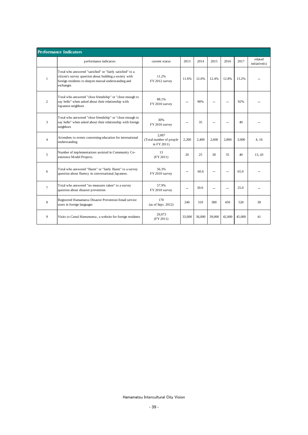|                | <b>Performance Indicators</b>                                                                                                                                                             |                                                   |        |        |        |        |        |                          |
|----------------|-------------------------------------------------------------------------------------------------------------------------------------------------------------------------------------------|---------------------------------------------------|--------|--------|--------|--------|--------|--------------------------|
|                | performance indicators                                                                                                                                                                    | current status                                    | 2013   | 2014   | 2015   | 2016   | 2017   | related<br>initiative(s) |
| $\mathbf{1}$   | Total who answered "satisfied" or "fairly satisfied" to a<br>citizen's survey question about building a society with<br>foreign residents to deepen mutual understanding and<br>exchanges | 11.2%<br>FY 2012 survey                           | 11.6%  | 12.0%  | 12.4%  | 12.8%  | 13.2%  |                          |
| 2              | Total who answered "close friendship" or "close enough to<br>say hello" when asked about their relationship with<br>Japanese neighbors                                                    | 88.1%<br>FY 2010 survey                           |        | 90%    |        |        | 92%    |                          |
| 3              | Total who answered "close friendship" or "close enough to<br>say hello" when asked about their relationship with foreign<br>neighbors                                                     | 30%<br>FY 2010 survey                             |        | 35     |        |        | 40     |                          |
| $\overline{4}$ | Attendees to events concerning education for international<br>understanding                                                                                                               | 2.007<br>(Total number of people<br>in $FY2011$ ) | 2,200  | 2.400  | 2.600  | 2.800  | 3.000  | 4.16                     |
| 5              | Number of implementations assisted in Community Co-<br>existence Model Projects.                                                                                                          | 13<br>(FY 2011)                                   | 20     | 25     | 30     | 35     | 40     | 13, 43                   |
| 6              | Total who answered "fluent" or "fairly fluent" to a survey<br>question about fluency in conversational Japanese.                                                                          | 56.3%<br>FY 2010 survey                           |        | 60.6   |        |        | 65.0   |                          |
| $\overline{7}$ | Total who answered "no measures taken" to a survey<br>question about disaster prevention                                                                                                  | 57.9%<br>FY 2010 survey                           |        | 30.0   |        |        | 25.0   |                          |
| 8              | Registered Hamamatsu Disaster Prevention Email service<br>users in foreign languages                                                                                                      | 170<br>(as of Sept. 2012)                         | 240    | 310    | 380    | 450    | 520    | 38                       |
| 9              | Visits to Canal Hamamatsu, a website for foreign residents                                                                                                                                | 29,973<br>(FY 2011)                               | 33,000 | 36,000 | 39,000 | 42,000 | 45,000 | 41                       |